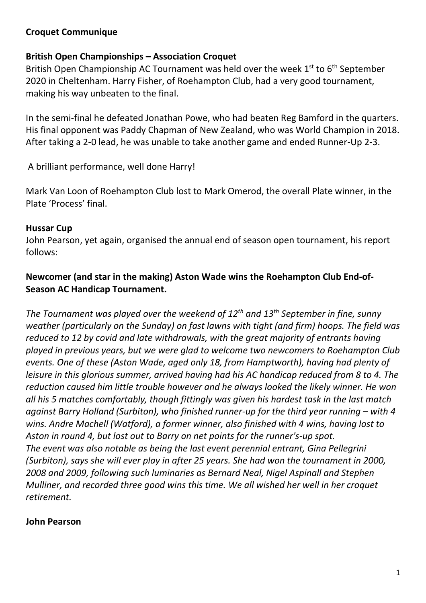## **Croquet Communique**

### **British Open Championships – Association Croquet**

British Open Championship AC Tournament was held over the week 1<sup>st</sup> to 6<sup>th</sup> September 2020 in Cheltenham. Harry Fisher, of Roehampton Club, had a very good tournament, making his way unbeaten to the final.

In the semi-final he defeated Jonathan Powe, who had beaten Reg Bamford in the quarters. His final opponent was Paddy Chapman of New Zealand, who was World Champion in 2018. After taking a 2-0 lead, he was unable to take another game and ended Runner-Up 2-3.

A brilliant performance, well done Harry!

Mark Van Loon of Roehampton Club lost to Mark Omerod, the overall Plate winner, in the Plate 'Process' final.

#### **Hussar Cup**

John Pearson, yet again, organised the annual end of season open tournament, his report follows:

# **Newcomer (and star in the making) Aston Wade wins the Roehampton Club End-of-Season AC Handicap Tournament.**

*The Tournament was played over the weekend of 12th and 13th September in fine, sunny weather (particularly on the Sunday) on fast lawns with tight (and firm) hoops. The field was reduced to 12 by covid and late withdrawals, with the great majority of entrants having played in previous years, but we were glad to welcome two newcomers to Roehampton Club events. One of these (Aston Wade, aged only 18, from Hamptworth), having had plenty of leisure in this glorious summer, arrived having had his AC handicap reduced from 8 to 4. The reduction caused him little trouble however and he always looked the likely winner. He won all his 5 matches comfortably, though fittingly was given his hardest task in the last match against Barry Holland (Surbiton), who finished runner-up for the third year running – with 4 wins. Andre Machell (Watford), a former winner, also finished with 4 wins, having lost to Aston in round 4, but lost out to Barry on net points for the runner's-up spot. The event was also notable as being the last event perennial entrant, Gina Pellegrini (Surbiton), says she will ever play in after 25 years. She had won the tournament in 2000, 2008 and 2009, following such luminaries as Bernard Neal, Nigel Aspinall and Stephen Mulliner, and recorded three good wins this time. We all wished her well in her croquet retirement.*

#### **John Pearson**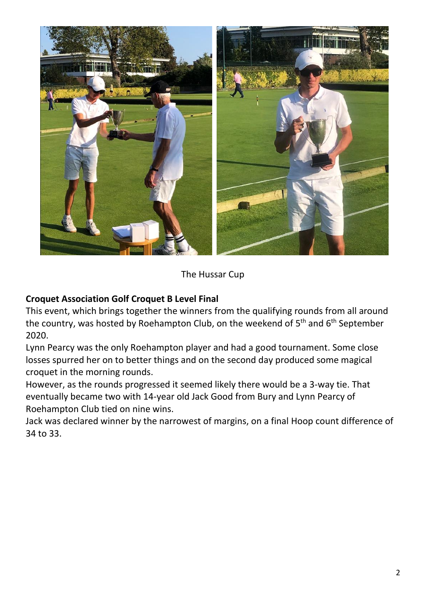

# The Hussar Cup

# **Croquet Association Golf Croquet B Level Final**

This event, which brings together the winners from the qualifying rounds from all around the country, was hosted by Roehampton Club, on the weekend of 5<sup>th</sup> and 6<sup>th</sup> September 2020.

Lynn Pearcy was the only Roehampton player and had a good tournament. Some close losses spurred her on to better things and on the second day produced some magical croquet in the morning rounds.

However, as the rounds progressed it seemed likely there would be a 3-way tie. That eventually became two with 14-year old Jack Good from Bury and Lynn Pearcy of Roehampton Club tied on nine wins.

Jack was declared winner by the narrowest of margins, on a final Hoop count difference of 34 to 33.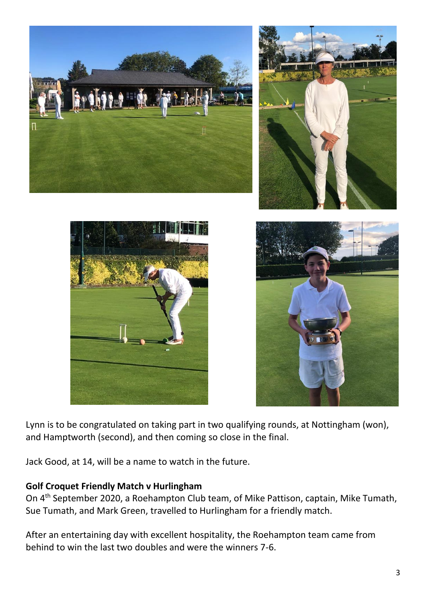

Lynn is to be congratulated on taking part in two qualifying rounds, at Nottingham (won), and Hamptworth (second), and then coming so close in the final.

Jack Good, at 14, will be a name to watch in the future.

#### **Golf Croquet Friendly Match v Hurlingham**

On 4<sup>th</sup> September 2020, a Roehampton Club team, of Mike Pattison, captain, Mike Tumath, Sue Tumath, and Mark Green, travelled to Hurlingham for a friendly match.

After an entertaining day with excellent hospitality, the Roehampton team came from behind to win the last two doubles and were the winners 7-6.